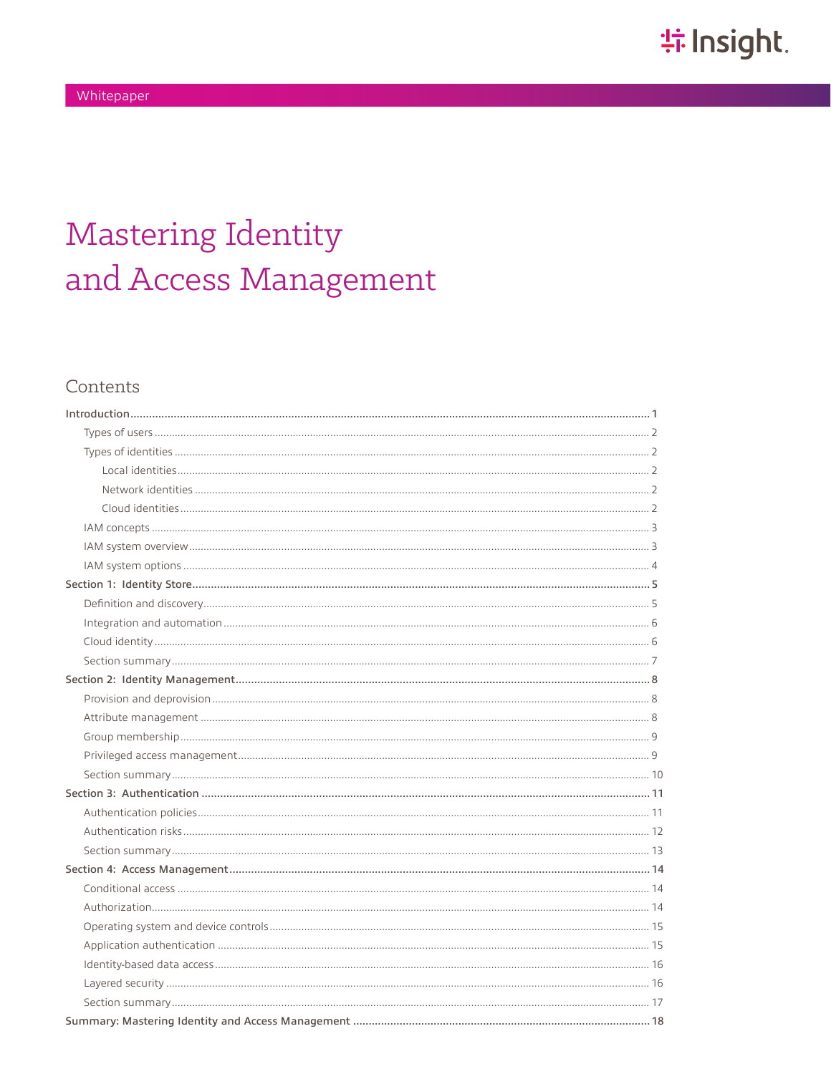# **Mastering Identity** and Access Management

# Contents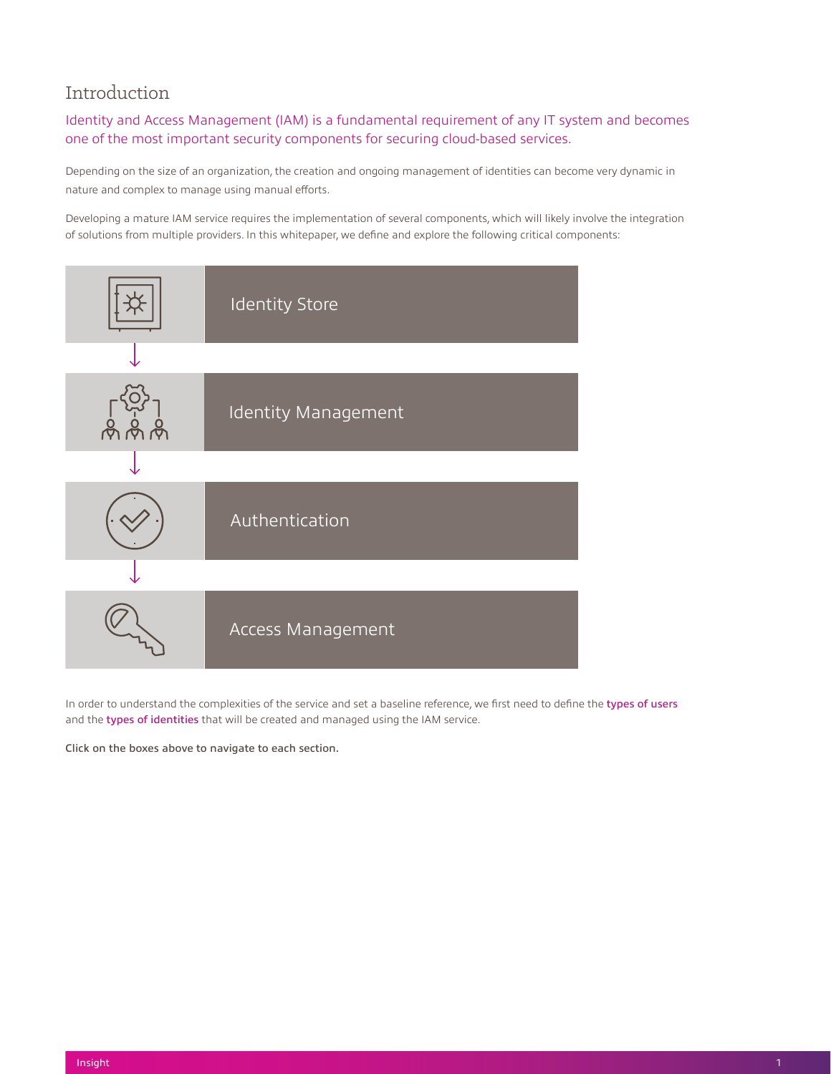# <span id="page-1-0"></span>Introduction

# Identity and Access Management (IAM) is a fundamental requirement of any IT system and becomes one of the most important security components for securing cloud-based services.

Depending on the size of an organization, the creation and ongoing management of identities can become very dynamic in nature and complex to manage using manual efforts.

Developing a mature IAM service requires the implementation of several components, which will likely involve the integration of solutions from multiple providers. In this whitepaper, we define and explore the following critical components:



In order to understand the complexities of the service and set a baseline reference, we first need to define the types of users and the types of identities that will be created and managed using the IAM service.

Click on the boxes above to navigate to each section.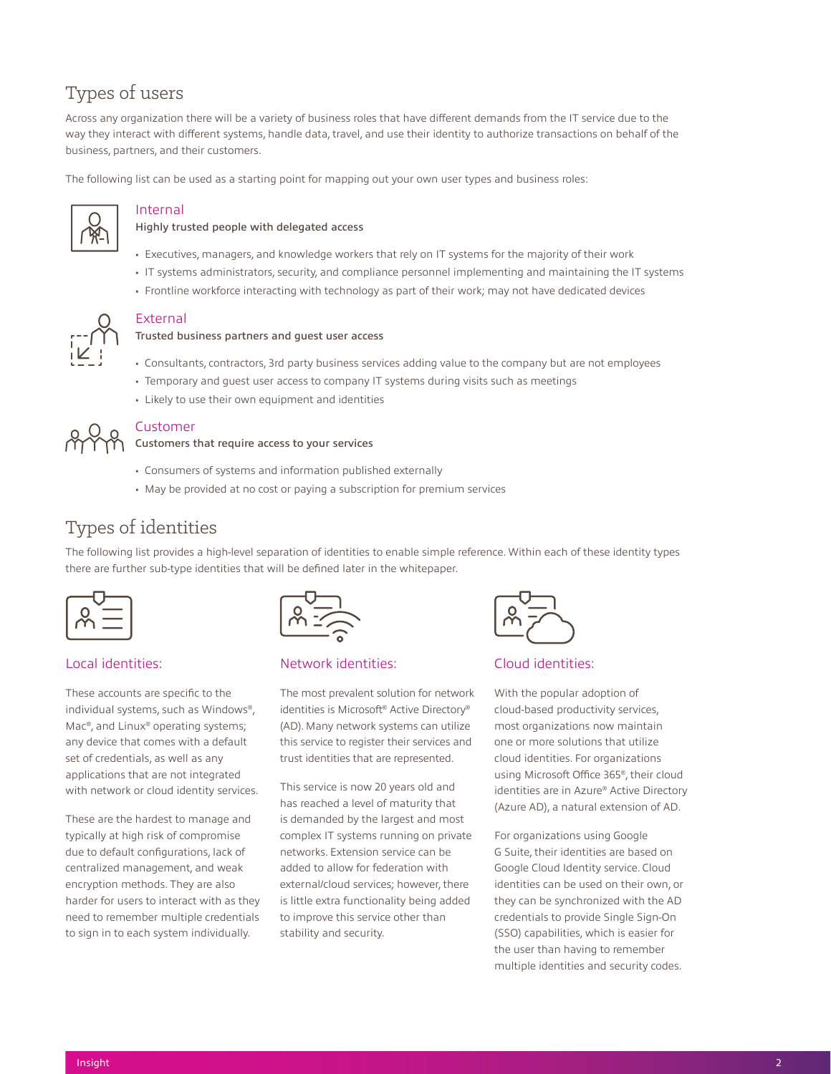# <span id="page-2-0"></span>Types of users

Across any organization there will be a variety of business roles that have different demands from the IT service due to the way they interact with different systems, handle data, travel, and use their identity to authorize transactions on behalf of the business, partners, and their customers.

The following list can be used as a starting point for mapping out your own user types and business roles:



# Internal

#### Highly trusted people with delegated access

- Executives, managers, and knowledge workers that rely on IT systems for the majority of their work
- IT systems administrators, security, and compliance personnel implementing and maintaining the IT systems
- Frontline workforce interacting with technology as part of their work; may not have dedicated devices



#### External

#### Trusted business partners and guest user access

- Consultants, contractors, 3rd party business services adding value to the company but are not employees
- Temporary and guest user access to company IT systems during visits such as meetings
- Likely to use their own equipment and identities



# Customer

#### Customers that require access to your services

- Consumers of systems and information published externally
- May be provided at no cost or paying a subscription for premium services

# Types of identities

The following list provides a high-level separation of identities to enable simple reference. Within each of these identity types there are further sub-type identities that will be defined later in the whitepaper.

# Local identities:

These accounts are specific to the individual systems, such as Windows®, Mac®, and Linux® operating systems; any device that comes with a default set of credentials, as well as any applications that are not integrated with network or cloud identity services.

These are the hardest to manage and typically at high risk of compromise due to default configurations, lack of centralized management, and weak encryption methods. They are also harder for users to interact with as they need to remember multiple credentials to sign in to each system individually.

### Network identities:

The most prevalent solution for network identities is Microsoft® Active Directory® (AD). Many network systems can utilize this service to register their services and trust identities that are represented.

This service is now 20 years old and has reached a level of maturity that is demanded by the largest and most complex IT systems running on private networks. Extension service can be added to allow for federation with external/cloud services; however, there is little extra functionality being added to improve this service other than stability and security.



# Cloud identities:

With the popular adoption of cloud-based productivity services, most organizations now maintain one or more solutions that utilize cloud identities. For organizations using Microsoft Office 365®, their cloud identities are in Azure® Active Directory (Azure AD), a natural extension of AD.

For organizations using Google G Suite, their identities are based on Google Cloud Identity service. Cloud identities can be used on their own, or they can be synchronized with the AD credentials to provide Single Sign-On (SSO) capabilities, which is easier for the user than having to remember multiple identities and security codes.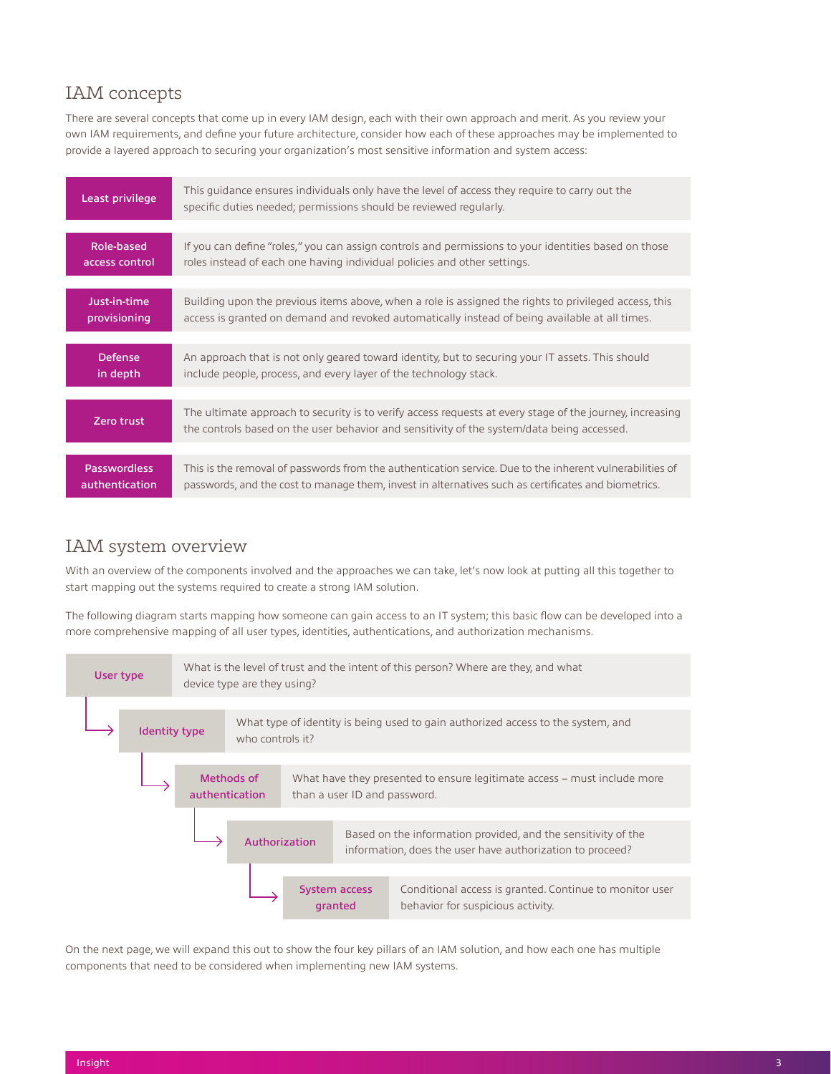# <span id="page-3-0"></span>IAM concepts

There are several concepts that come up in every IAM design, each with their own approach and merit. As you review your own IAM requirements, and define your future architecture, consider how each of these approaches may be implemented to provide a layered approach to securing your organization's most sensitive information and system access:

| Least privilege                       | This quidance ensures individuals only have the level of access they require to carry out the<br>specific duties needed; permissions should be reviewed regularly.                                              |
|---------------------------------------|-----------------------------------------------------------------------------------------------------------------------------------------------------------------------------------------------------------------|
|                                       |                                                                                                                                                                                                                 |
| Role-based<br>access control          | If you can define "roles," you can assign controls and permissions to your identities based on those<br>roles instead of each one having individual policies and other settings.                                |
|                                       |                                                                                                                                                                                                                 |
| Just-in-time<br>provisioning          | Building upon the previous items above, when a role is assigned the rights to privileged access, this<br>access is granted on demand and revoked automatically instead of being available at all times.         |
|                                       |                                                                                                                                                                                                                 |
| Defense<br>in depth                   | An approach that is not only geared toward identity, but to securing your IT assets. This should<br>include people, process, and every layer of the technology stack.                                           |
|                                       |                                                                                                                                                                                                                 |
| Zero trust                            | The ultimate approach to security is to verify access requests at every stage of the journey, increasing<br>the controls based on the user behavior and sensitivity of the system/data being accessed.          |
|                                       |                                                                                                                                                                                                                 |
| <b>Passwordless</b><br>authentication | This is the removal of passwords from the authentication service. Due to the inherent vulnerabilities of<br>passwords, and the cost to manage them, invest in alternatives such as certificates and biometrics. |

# IAM system overview

With an overview of the components involved and the approaches we can take, let's now look at putting all this together to start mapping out the systems required to create a strong IAM solution.

The following diagram starts mapping how someone can gain access to an IT system; this basic flow can be developed into a more comprehensive mapping of all user types, identities, authentications, and authorization mechanisms.



On the next page, we will expand this out to show the four key pillars of an IAM solution, and how each one has multiple components that need to be considered when implementing new IAM systems.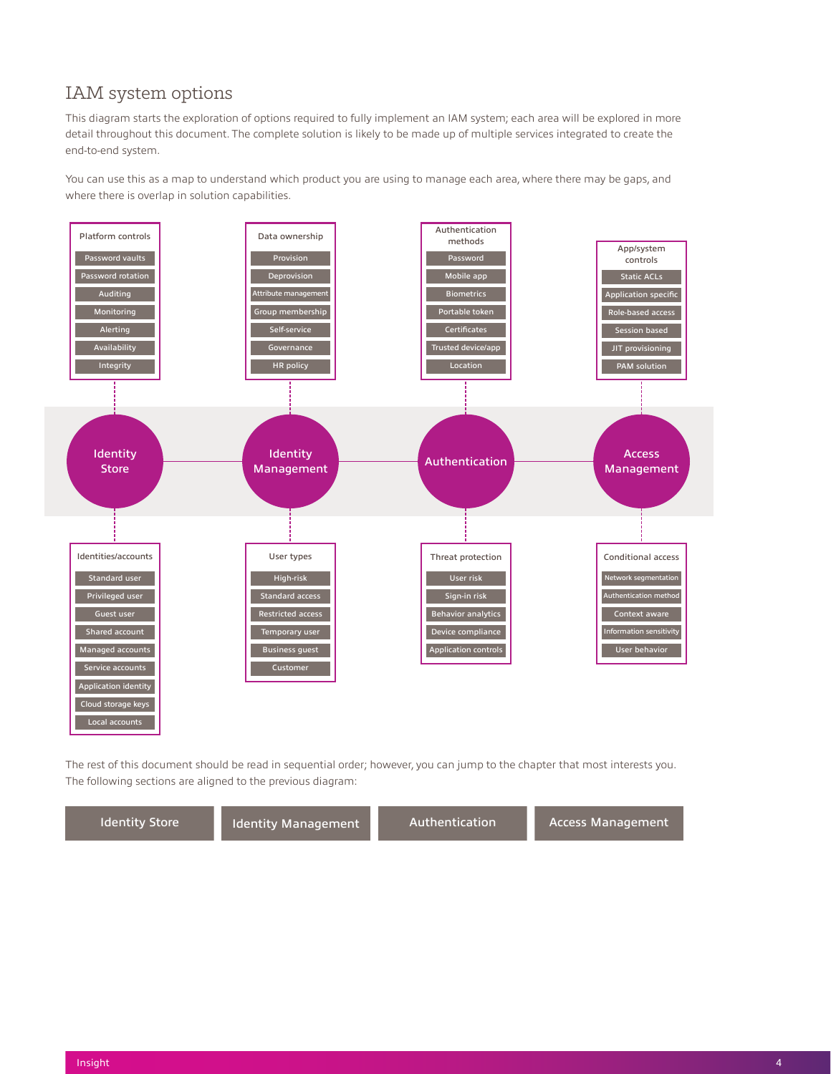# <span id="page-4-0"></span>IAM system options

This diagram starts the exploration of options required to fully implement an IAM system; each area will be explored in more detail throughout this document. The complete solution is likely to be made up of multiple services integrated to create the end-to-end system.

You can use this as a map to understand which product you are using to manage each area, where there may be gaps, and where there is overlap in solution capabilities.



The rest of this document should be read in sequential order; however, you can jump to the chapter that most interests you. The following sections are aligned to the previous diagram:

Identity Store Indentity Management Authentication Access Management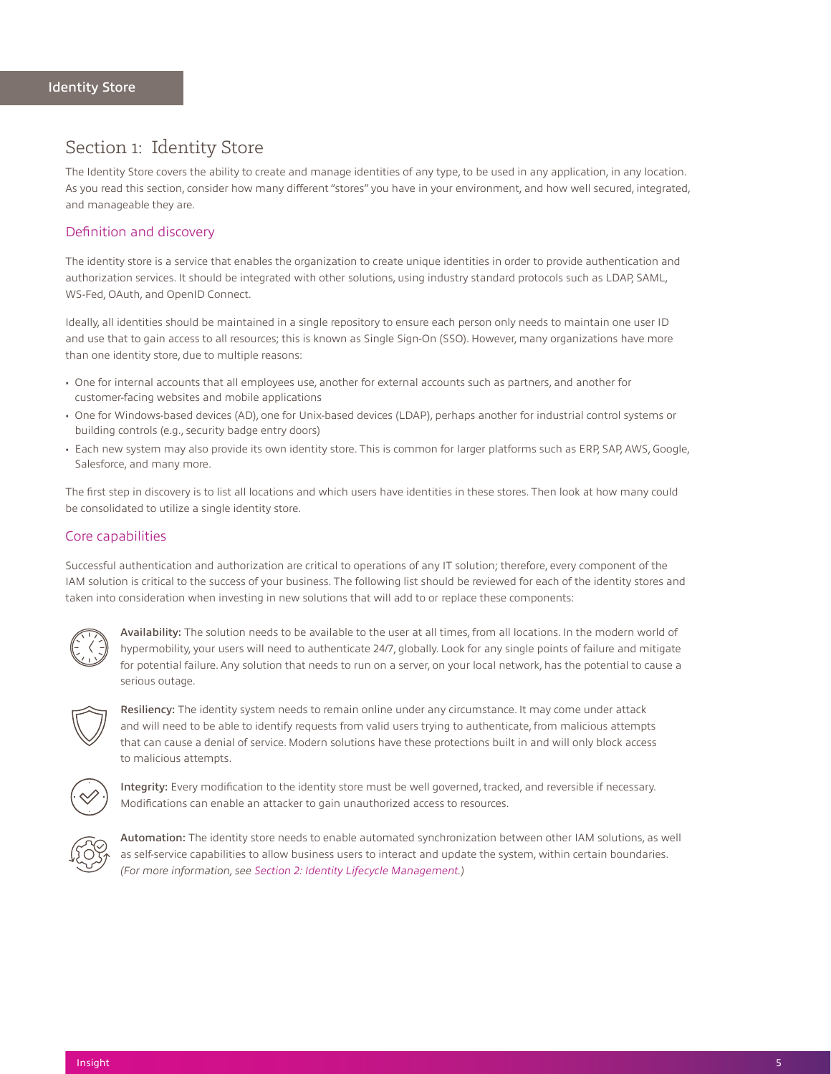# <span id="page-5-0"></span>Section 1: Identity Store

The Identity Store covers the ability to create and manage identities of any type, to be used in any application, in any location. As you read this section, consider how many different "stores" you have in your environment, and how well secured, integrated, and manageable they are.

# Definition and discovery

The identity store is a service that enables the organization to create unique identities in order to provide authentication and authorization services. It should be integrated with other solutions, using industry standard protocols such as LDAP, SAML, WS-Fed, OAuth, and OpenID Connect.

Ideally, all identities should be maintained in a single repository to ensure each person only needs to maintain one user ID and use that to gain access to all resources; this is known as Single Sign-On (SSO). However, many organizations have more than one identity store, due to multiple reasons:

- One for internal accounts that all employees use, another for external accounts such as partners, and another for customer-facing websites and mobile applications
- One for Windows-based devices (AD), one for Unix-based devices (LDAP), perhaps another for industrial control systems or building controls (e.g., security badge entry doors)
- Each new system may also provide its own identity store. This is common for larger platforms such as ERP, SAP, AWS, Google, Salesforce, and many more.

The first step in discovery is to list all locations and which users have identities in these stores. Then look at how many could be consolidated to utilize a single identity store.

# Core capabilities

Successful authentication and authorization are critical to operations of any IT solution; therefore, every component of the IAM solution is critical to the success of your business. The following list should be reviewed for each of the identity stores and taken into consideration when investing in new solutions that will add to or replace these components:



Availability: The solution needs to be available to the user at all times, from all locations. In the modern world of hypermobility, your users will need to authenticate 24/7, globally. Look for any single points of failure and mitigate for potential failure. Any solution that needs to run on a server, on your local network, has the potential to cause a serious outage.



Resiliency: The identity system needs to remain online under any circumstance. It may come under attack and will need to be able to identify requests from valid users trying to authenticate, from malicious attempts that can cause a denial of service. Modern solutions have these protections built in and will only block access to malicious attempts.



Integrity: Every modification to the identity store must be well governed, tracked, and reversible if necessary. Modifications can enable an attacker to gain unauthorized access to resources.



Automation: The identity store needs to enable automated synchronization between other IAM solutions, as well as self-service capabilities to allow business users to interact and update the system, within certain boundaries. *(For more information, see [Section 2: Identity Lifecycle Management.](#page-8-0))*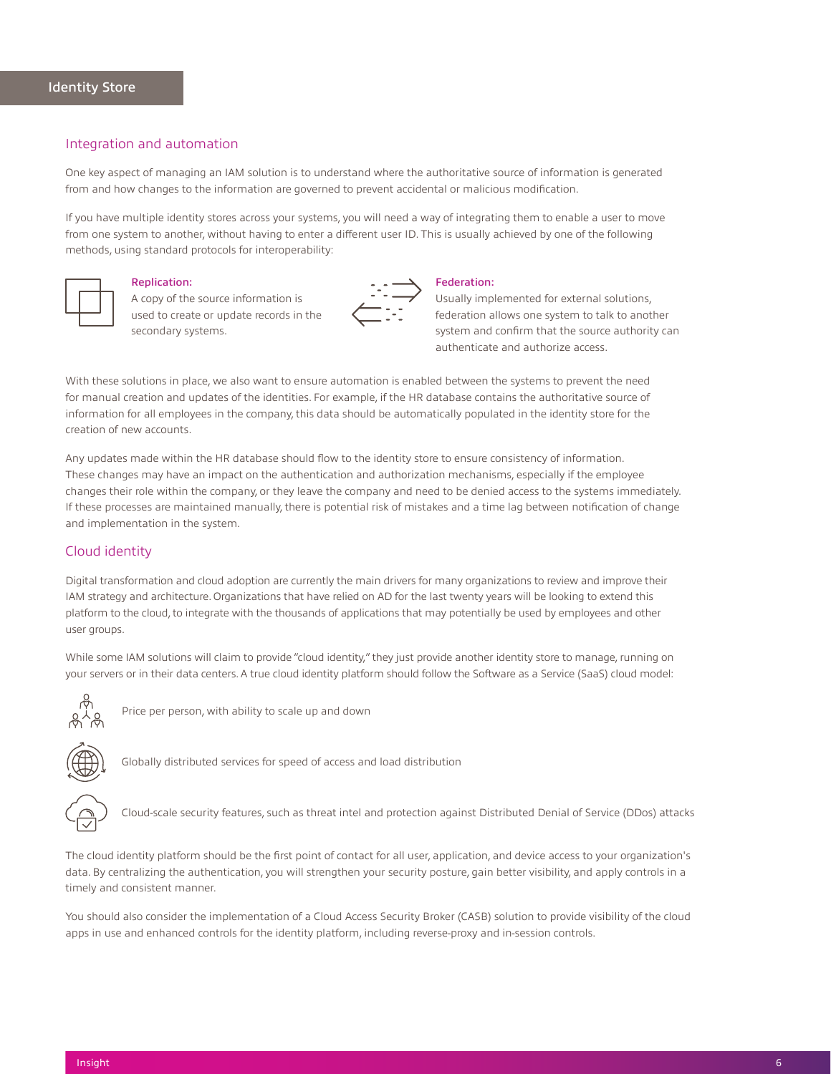#### <span id="page-6-0"></span>Integration and automation

One key aspect of managing an IAM solution is to understand where the authoritative source of information is generated from and how changes to the information are governed to prevent accidental or malicious modification.

If you have multiple identity stores across your systems, you will need a way of integrating them to enable a user to move from one system to another, without having to enter a different user ID. This is usually achieved by one of the following methods, using standard protocols for interoperability:



### Replication:

A copy of the source information is used to create or update records in the secondary systems.



#### Federation:

Usually implemented for external solutions, federation allows one system to talk to another system and confirm that the source authority can authenticate and authorize access.

With these solutions in place, we also want to ensure automation is enabled between the systems to prevent the need for manual creation and updates of the identities. For example, if the HR database contains the authoritative source of information for all employees in the company, this data should be automatically populated in the identity store for the creation of new accounts.

Any updates made within the HR database should flow to the identity store to ensure consistency of information. These changes may have an impact on the authentication and authorization mechanisms, especially if the employee changes their role within the company, or they leave the company and need to be denied access to the systems immediately. If these processes are maintained manually, there is potential risk of mistakes and a time lag between notification of change and implementation in the system.

## Cloud identity

Digital transformation and cloud adoption are currently the main drivers for many organizations to review and improve their IAM strategy and architecture. Organizations that have relied on AD for the last twenty years will be looking to extend this platform to the cloud, to integrate with the thousands of applications that may potentially be used by employees and other user groups.

While some IAM solutions will claim to provide "cloud identity," they just provide another identity store to manage, running on your servers or in their data centers. A true cloud identity platform should follow the Software as a Service (SaaS) cloud model:



Price per person, with ability to scale up and down



Globally distributed services for speed of access and load distribution



Cloud-scale security features, such as threat intel and protection against Distributed Denial of Service (DDos) attacks

The cloud identity platform should be the first point of contact for all user, application, and device access to your organization's data. By centralizing the authentication, you will strengthen your security posture, gain better visibility, and apply controls in a timely and consistent manner.

You should also consider the implementation of a Cloud Access Security Broker (CASB) solution to provide visibility of the cloud apps in use and enhanced controls for the identity platform, including reverse-proxy and in-session controls.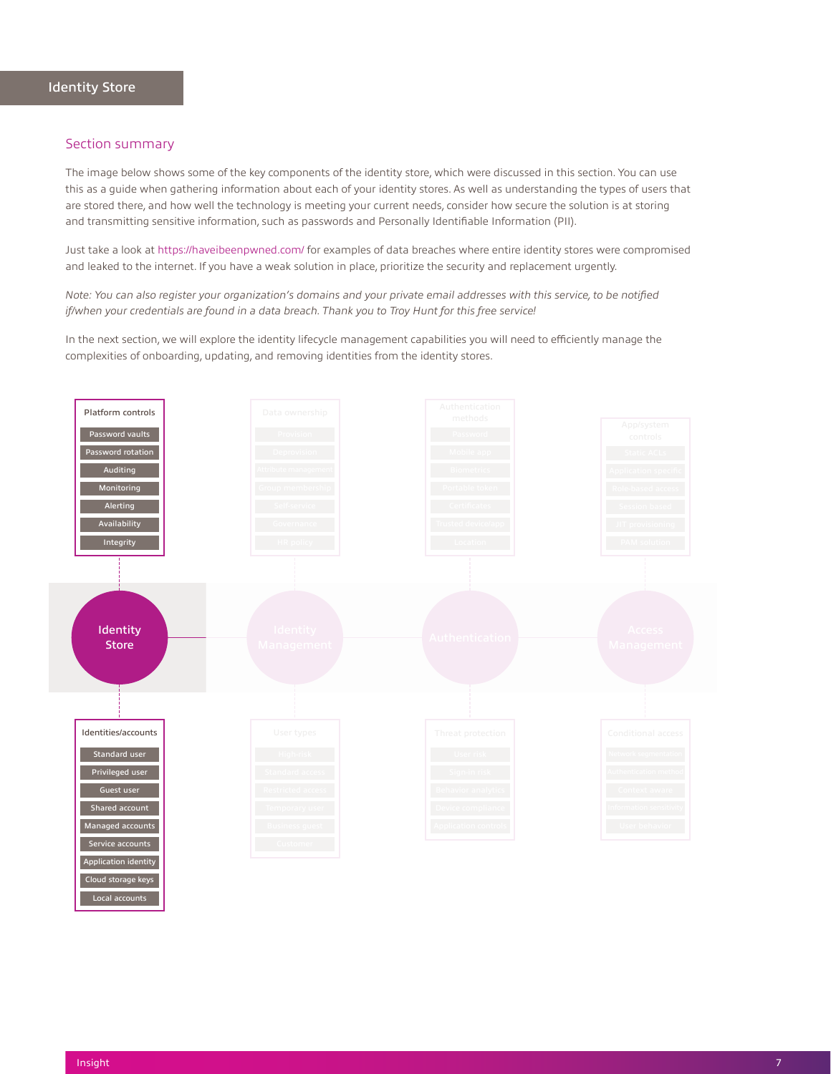<span id="page-7-0"></span>The image below shows some of the key components of the identity store, which were discussed in this section. You can use this as a guide when gathering information about each of your identity stores. As well as understanding the types of users that are stored there, and how well the technology is meeting your current needs, consider how secure the solution is at storing and transmitting sensitive information, such as passwords and Personally Identifiable Information (PII).

Just take a look at<https://haveibeenpwned.com/> for examples of data breaches where entire identity stores were compromised and leaked to the internet. If you have a weak solution in place, prioritize the security and replacement urgently.

*Note: You can also register your organization's domains and your private email addresses with this service, to be notified if/when your credentials are found in a data breach. Thank you to Troy Hunt for this free service!*

In the next section, we will explore the identity lifecycle management capabilities you will need to efficiently manage the complexities of onboarding, updating, and removing identities from the identity stores.



Local accounts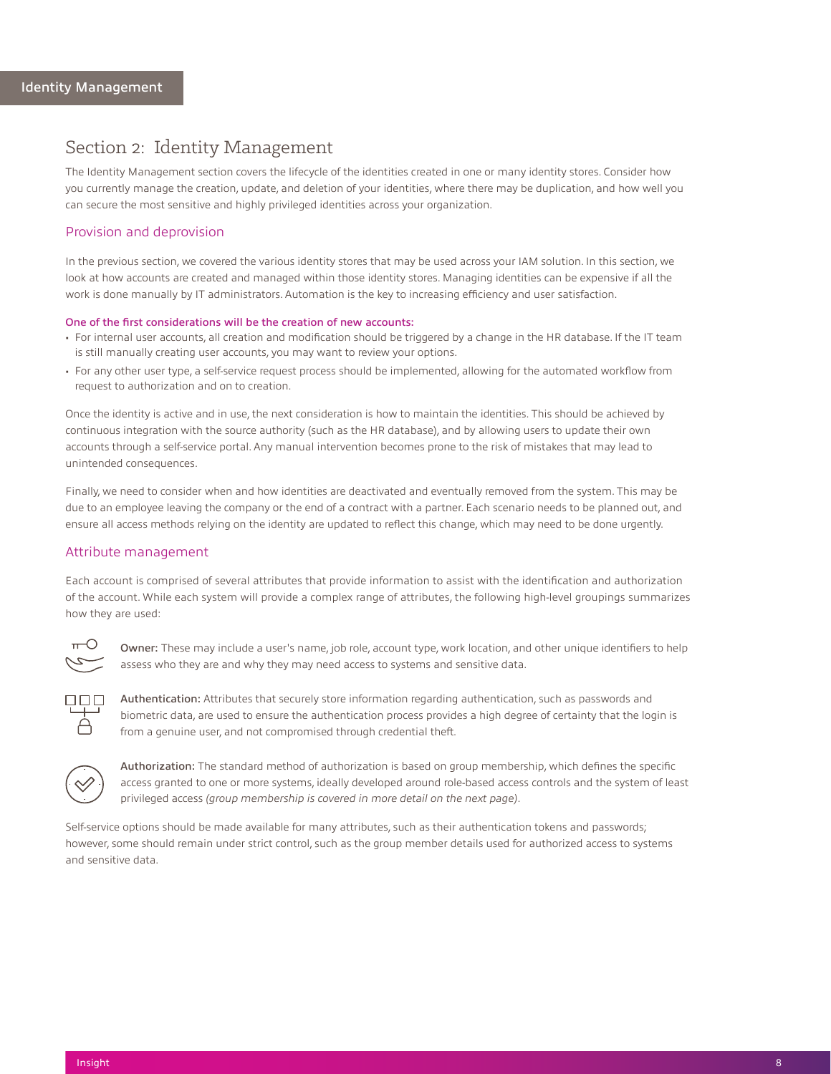# <span id="page-8-0"></span>Section 2: Identity Management

The Identity Management section covers the lifecycle of the identities created in one or many identity stores. Consider how you currently manage the creation, update, and deletion of your identities, where there may be duplication, and how well you can secure the most sensitive and highly privileged identities across your organization.

### Provision and deprovision

In the previous section, we covered the various identity stores that may be used across your IAM solution. In this section, we look at how accounts are created and managed within those identity stores. Managing identities can be expensive if all the work is done manually by IT administrators. Automation is the key to increasing efficiency and user satisfaction.

#### One of the first considerations will be the creation of new accounts:

- For internal user accounts, all creation and modification should be triggered by a change in the HR database. If the IT team is still manually creating user accounts, you may want to review your options.
- For any other user type, a self-service request process should be implemented, allowing for the automated workflow from request to authorization and on to creation.

Once the identity is active and in use, the next consideration is how to maintain the identities. This should be achieved by continuous integration with the source authority (such as the HR database), and by allowing users to update their own accounts through a self-service portal. Any manual intervention becomes prone to the risk of mistakes that may lead to unintended consequences.

Finally, we need to consider when and how identities are deactivated and eventually removed from the system. This may be due to an employee leaving the company or the end of a contract with a partner. Each scenario needs to be planned out, and ensure all access methods relying on the identity are updated to reflect this change, which may need to be done urgently.

### Attribute management

Each account is comprised of several attributes that provide information to assist with the identification and authorization of the account. While each system will provide a complex range of attributes, the following high-level groupings summarizes how they are used:



Owner: These may include a user's name, job role, account type, work location, and other unique identifiers to help assess who they are and why they may need access to systems and sensitive data.



Authentication: Attributes that securely store information regarding authentication, such as passwords and biometric data, are used to ensure the authentication process provides a high degree of certainty that the login is from a genuine user, and not compromised through credential theft.



Authorization: The standard method of authorization is based on group membership, which defines the specific access granted to one or more systems, ideally developed around role-based access controls and the system of least privileged access *(group membership is covered in more detail on the next page)*.

Self-service options should be made available for many attributes, such as their authentication tokens and passwords; however, some should remain under strict control, such as the group member details used for authorized access to systems and sensitive data.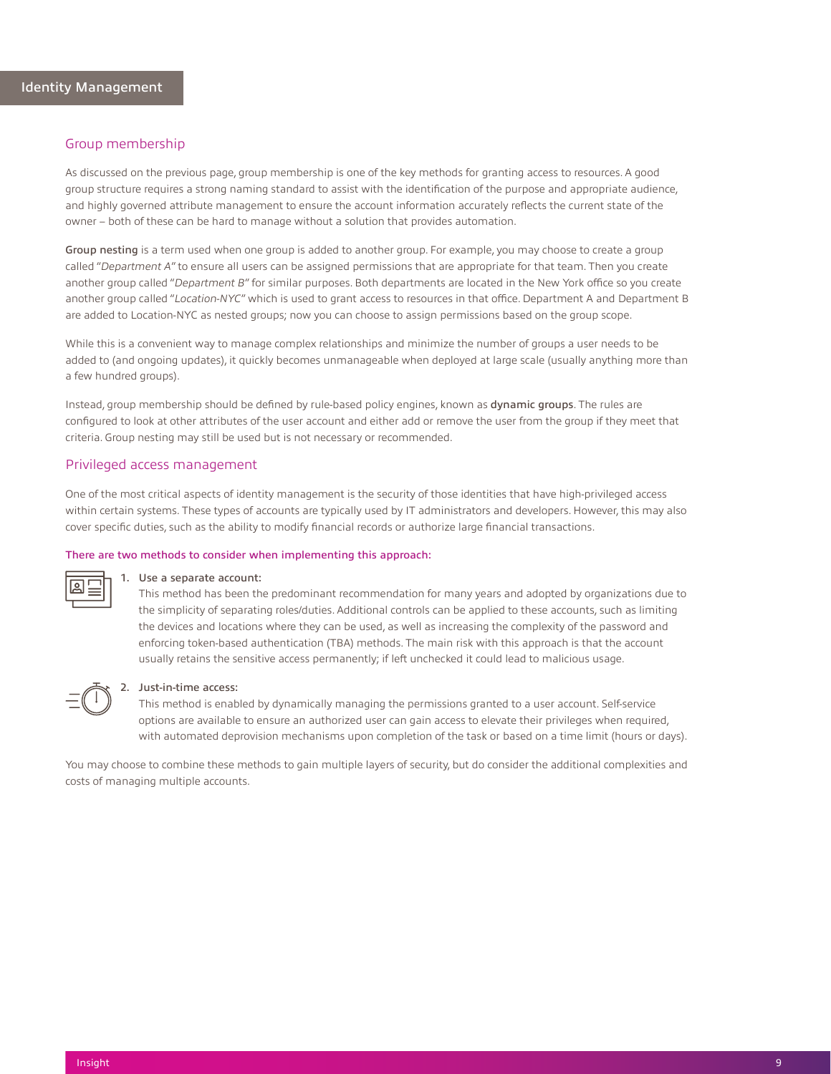#### <span id="page-9-0"></span>Group membership

As discussed on the previous page, group membership is one of the key methods for granting access to resources. A good group structure requires a strong naming standard to assist with the identification of the purpose and appropriate audience, and highly governed attribute management to ensure the account information accurately reflects the current state of the owner – both of these can be hard to manage without a solution that provides automation.

Group nesting is a term used when one group is added to another group. For example, you may choose to create a group called "*Department A*" to ensure all users can be assigned permissions that are appropriate for that team. Then you create another group called "*Department B*" for similar purposes. Both departments are located in the New York office so you create another group called "*Location-NYC*" which is used to grant access to resources in that office. Department A and Department B are added to Location-NYC as nested groups; now you can choose to assign permissions based on the group scope.

While this is a convenient way to manage complex relationships and minimize the number of groups a user needs to be added to (and ongoing updates), it quickly becomes unmanageable when deployed at large scale (usually anything more than a few hundred groups).

Instead, group membership should be defined by rule-based policy engines, known as dynamic groups. The rules are configured to look at other attributes of the user account and either add or remove the user from the group if they meet that criteria. Group nesting may still be used but is not necessary or recommended.

#### Privileged access management

One of the most critical aspects of identity management is the security of those identities that have high-privileged access within certain systems. These types of accounts are typically used by IT administrators and developers. However, this may also cover specific duties, such as the ability to modify financial records or authorize large financial transactions.

#### There are two methods to consider when implementing this approach:



#### 1. Use a separate account:

This method has been the predominant recommendation for many years and adopted by organizations due to the simplicity of separating roles/duties. Additional controls can be applied to these accounts, such as limiting the devices and locations where they can be used, as well as increasing the complexity of the password and enforcing token-based authentication (TBA) methods. The main risk with this approach is that the account usually retains the sensitive access permanently; if left unchecked it could lead to malicious usage.

### 2. Just-in-time access:

This method is enabled by dynamically managing the permissions granted to a user account. Self-service options are available to ensure an authorized user can gain access to elevate their privileges when required, with automated deprovision mechanisms upon completion of the task or based on a time limit (hours or days).

You may choose to combine these methods to gain multiple layers of security, but do consider the additional complexities and costs of managing multiple accounts.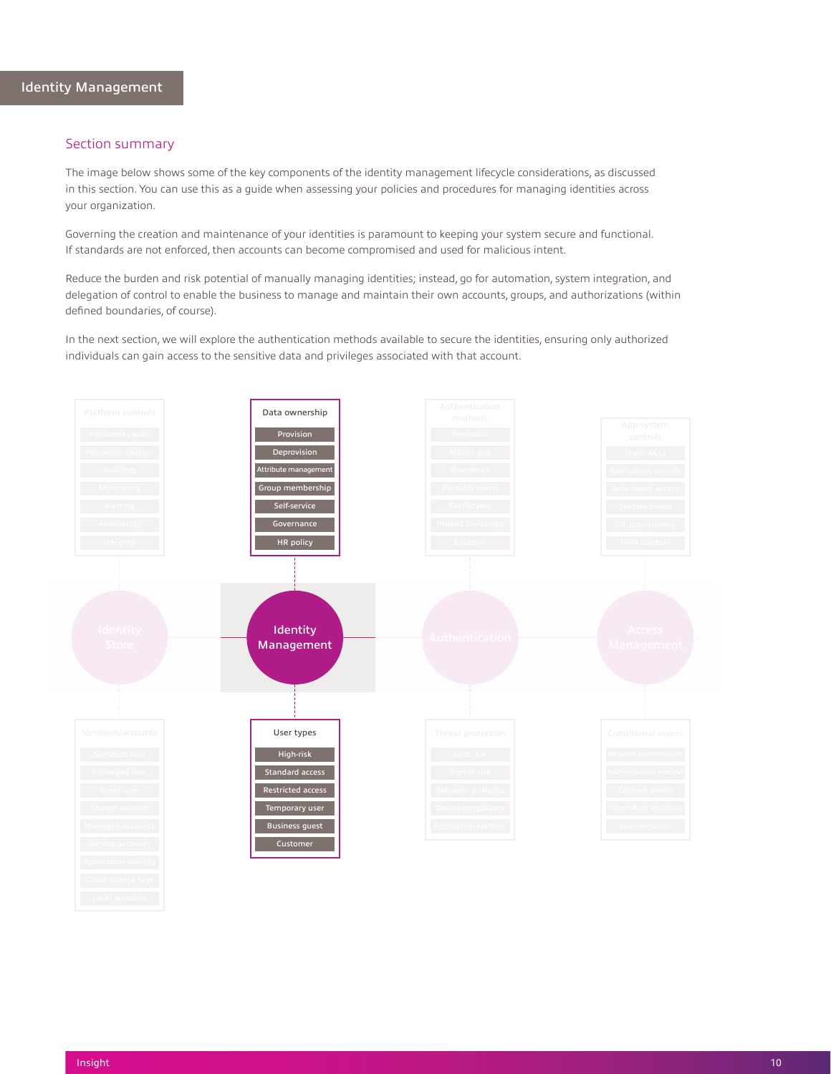<span id="page-10-0"></span>The image below shows some of the key components of the identity management lifecycle considerations, as discussed in this section. You can use this as a guide when assessing your policies and procedures for managing identities across your organization.

Governing the creation and maintenance of your identities is paramount to keeping your system secure and functional. If standards are not enforced, then accounts can become compromised and used for malicious intent.

Reduce the burden and risk potential of manually managing identities; instead, go for automation, system integration, and delegation of control to enable the business to manage and maintain their own accounts, groups, and authorizations (within defined boundaries, of course).

In the next section, we will explore the authentication methods available to secure the identities, ensuring only authorized individuals can gain access to the sensitive data and privileges associated with that account.

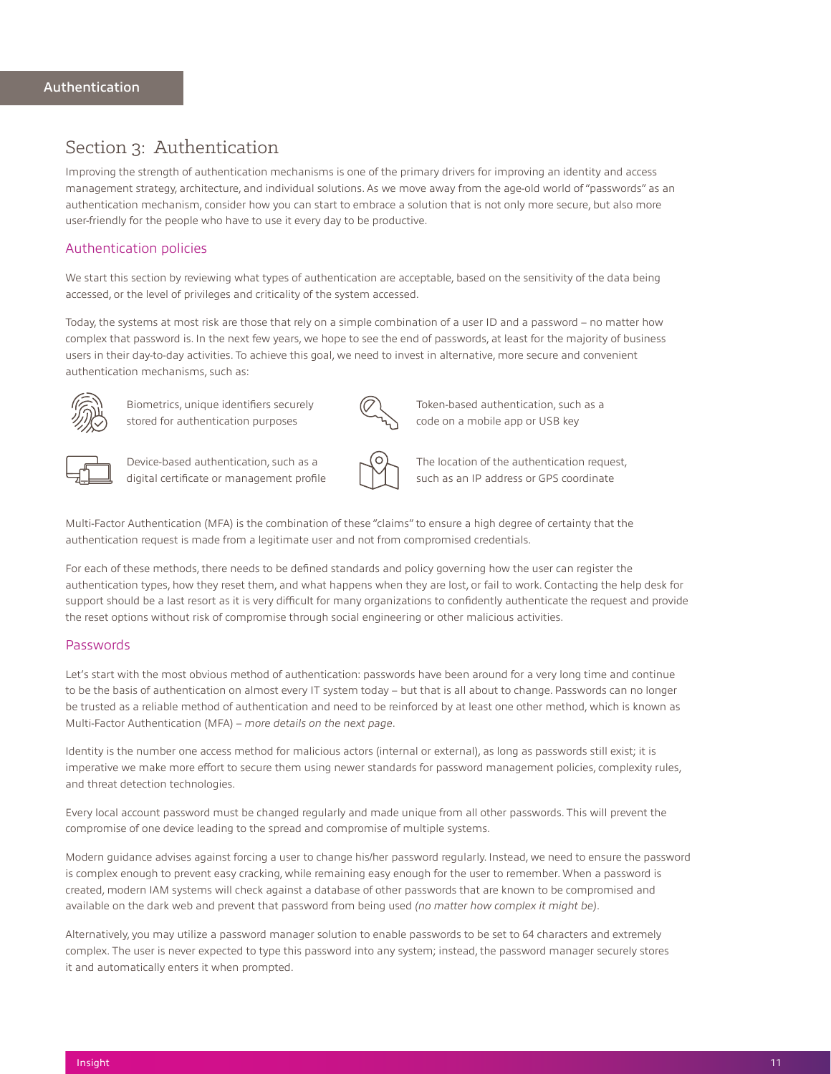# <span id="page-11-0"></span>Section 3: Authentication

Improving the strength of authentication mechanisms is one of the primary drivers for improving an identity and access management strategy, architecture, and individual solutions. As we move away from the age-old world of "passwords" as an authentication mechanism, consider how you can start to embrace a solution that is not only more secure, but also more user-friendly for the people who have to use it every day to be productive.

## Authentication policies

We start this section by reviewing what types of authentication are acceptable, based on the sensitivity of the data being accessed, or the level of privileges and criticality of the system accessed.

Today, the systems at most risk are those that rely on a simple combination of a user ID and a password – no matter how complex that password is. In the next few years, we hope to see the end of passwords, at least for the majority of business users in their day-to-day activities. To achieve this goal, we need to invest in alternative, more secure and convenient authentication mechanisms, such as:



Biometrics, unique identifiers securely stored for authentication purposes



Token-based authentication, such as a code on a mobile app or USB key



Device-based authentication, such as a digital certificate or management profile



The location of the authentication request, such as an IP address or GPS coordinate

Multi-Factor Authentication (MFA) is the combination of these "claims" to ensure a high degree of certainty that the authentication request is made from a legitimate user and not from compromised credentials.

For each of these methods, there needs to be defined standards and policy governing how the user can register the authentication types, how they reset them, and what happens when they are lost, or fail to work. Contacting the help desk for support should be a last resort as it is very difficult for many organizations to confidently authenticate the request and provide the reset options without risk of compromise through social engineering or other malicious activities.

### Passwords

Let's start with the most obvious method of authentication: passwords have been around for a very long time and continue to be the basis of authentication on almost every IT system today – but that is all about to change. Passwords can no longer be trusted as a reliable method of authentication and need to be reinforced by at least one other method, which is known as Multi-Factor Authentication (MFA) – *more details on the next page*.

Identity is the number one access method for malicious actors (internal or external), as long as passwords still exist; it is imperative we make more effort to secure them using newer standards for password management policies, complexity rules, and threat detection technologies.

Every local account password must be changed regularly and made unique from all other passwords. This will prevent the compromise of one device leading to the spread and compromise of multiple systems.

Modern guidance advises against forcing a user to change his/her password regularly. Instead, we need to ensure the password is complex enough to prevent easy cracking, while remaining easy enough for the user to remember. When a password is created, modern IAM systems will check against a database of other passwords that are known to be compromised and available on the dark web and prevent that password from being used *(no matter how complex it might be)*.

Alternatively, you may utilize a password manager solution to enable passwords to be set to 64 characters and extremely complex. The user is never expected to type this password into any system; instead, the password manager securely stores it and automatically enters it when prompted.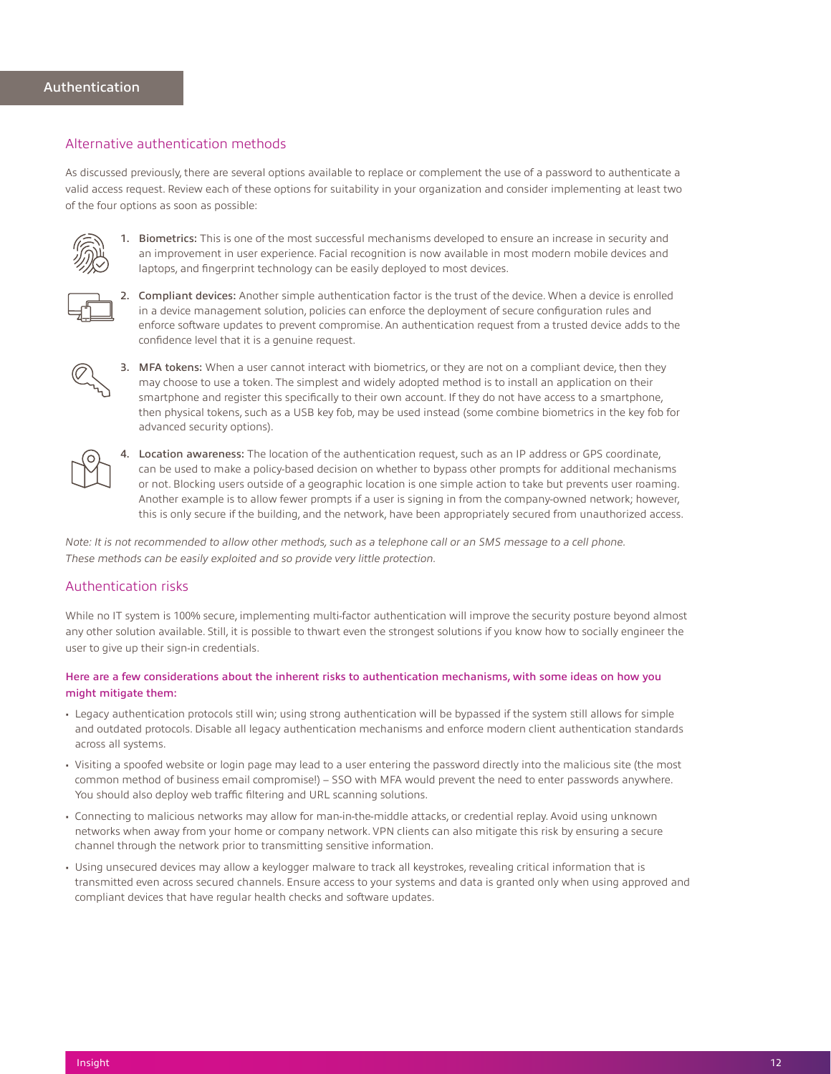### <span id="page-12-0"></span>Alternative authentication methods

As discussed previously, there are several options available to replace or complement the use of a password to authenticate a valid access request. Review each of these options for suitability in your organization and consider implementing at least two of the four options as soon as possible:



1. Biometrics: This is one of the most successful mechanisms developed to ensure an increase in security and an improvement in user experience. Facial recognition is now available in most modern mobile devices and laptops, and fingerprint technology can be easily deployed to most devices.



2. Compliant devices: Another simple authentication factor is the trust of the device. When a device is enrolled in a device management solution, policies can enforce the deployment of secure configuration rules and enforce software updates to prevent compromise. An authentication request from a trusted device adds to the confidence level that it is a genuine request.



3. MFA tokens: When a user cannot interact with biometrics, or they are not on a compliant device, then they may choose to use a token. The simplest and widely adopted method is to install an application on their smartphone and register this specifically to their own account. If they do not have access to a smartphone, then physical tokens, such as a USB key fob, may be used instead (some combine biometrics in the key fob for advanced security options).



4. Location awareness: The location of the authentication request, such as an IP address or GPS coordinate, can be used to make a policy-based decision on whether to bypass other prompts for additional mechanisms or not. Blocking users outside of a geographic location is one simple action to take but prevents user roaming. Another example is to allow fewer prompts if a user is signing in from the company-owned network; however, this is only secure if the building, and the network, have been appropriately secured from unauthorized access.

*Note: It is not recommended to allow other methods, such as a telephone call or an SMS message to a cell phone. These methods can be easily exploited and so provide very little protection.*

### Authentication risks

While no IT system is 100% secure, implementing multi-factor authentication will improve the security posture beyond almost any other solution available. Still, it is possible to thwart even the strongest solutions if you know how to socially engineer the user to give up their sign-in credentials.

### Here are a few considerations about the inherent risks to authentication mechanisms, with some ideas on how you might mitigate them:

- Legacy authentication protocols still win; using strong authentication will be bypassed if the system still allows for simple and outdated protocols. Disable all legacy authentication mechanisms and enforce modern client authentication standards across all systems.
- Visiting a spoofed website or login page may lead to a user entering the password directly into the malicious site (the most common method of business email compromise!) – SSO with MFA would prevent the need to enter passwords anywhere. You should also deploy web traffic filtering and URL scanning solutions.
- Connecting to malicious networks may allow for man-in-the-middle attacks, or credential replay. Avoid using unknown networks when away from your home or company network. VPN clients can also mitigate this risk by ensuring a secure channel through the network prior to transmitting sensitive information.
- Using unsecured devices may allow a keylogger malware to track all keystrokes, revealing critical information that is transmitted even across secured channels. Ensure access to your systems and data is granted only when using approved and compliant devices that have regular health checks and software updates.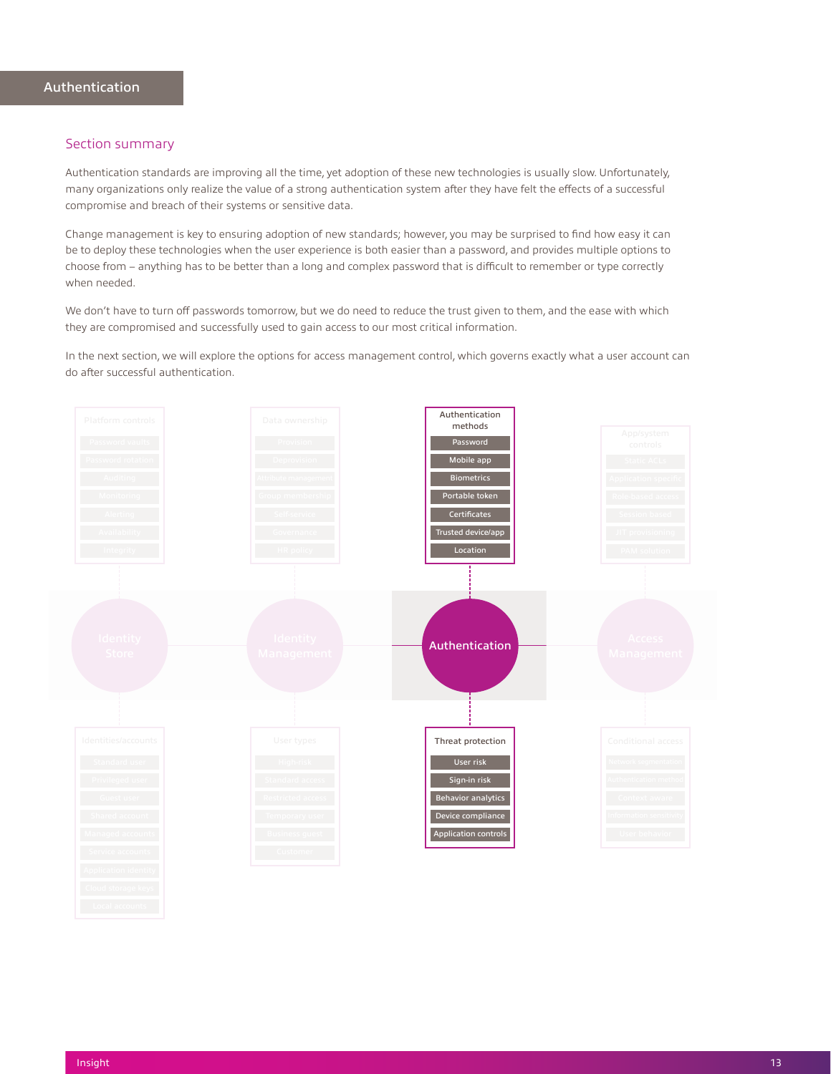<span id="page-13-0"></span>Authentication standards are improving all the time, yet adoption of these new technologies is usually slow. Unfortunately, many organizations only realize the value of a strong authentication system after they have felt the effects of a successful compromise and breach of their systems or sensitive data.

Change management is key to ensuring adoption of new standards; however, you may be surprised to find how easy it can be to deploy these technologies when the user experience is both easier than a password, and provides multiple options to choose from – anything has to be better than a long and complex password that is difficult to remember or type correctly when needed.

We don't have to turn off passwords tomorrow, but we do need to reduce the trust given to them, and the ease with which they are compromised and successfully used to gain access to our most critical information.

In the next section, we will explore the options for access management control, which governs exactly what a user account can do after successful authentication.

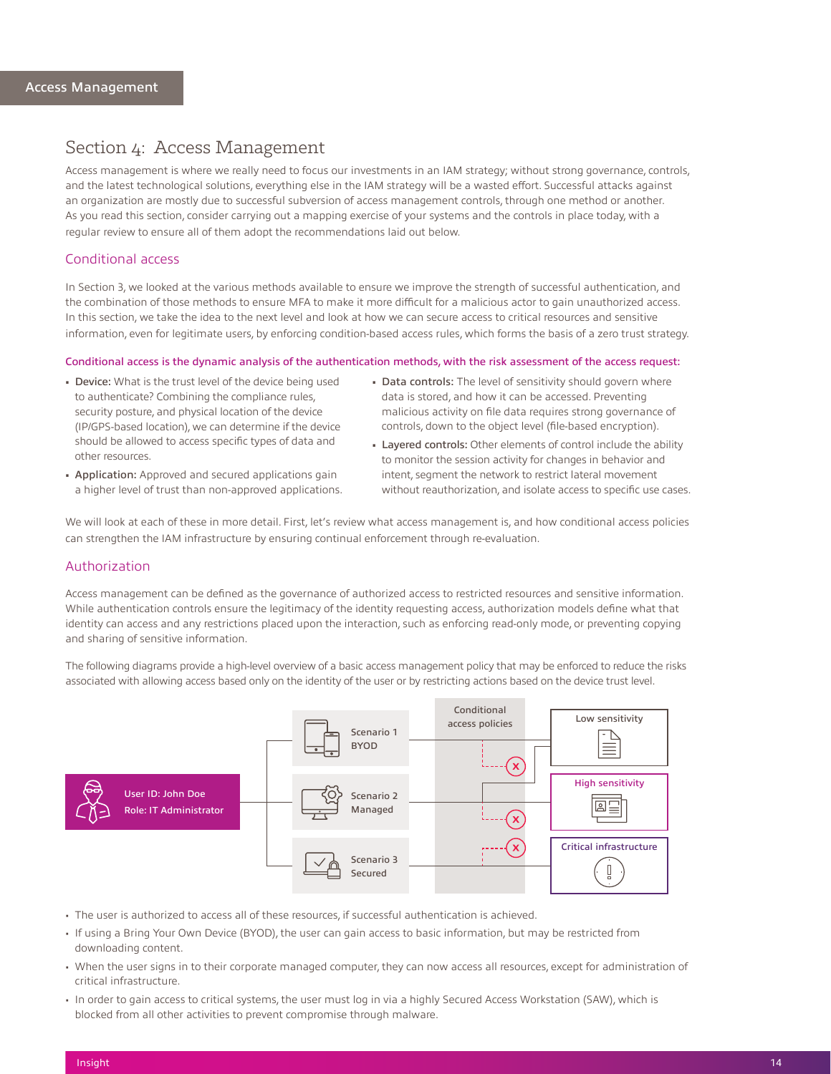# <span id="page-14-0"></span>Section 4: Access Management

Access management is where we really need to focus our investments in an IAM strategy; without strong governance, controls, and the latest technological solutions, everything else in the IAM strategy will be a wasted effort. Successful attacks against an organization are mostly due to successful subversion of access management controls, through one method or another. As you read this section, consider carrying out a mapping exercise of your systems and the controls in place today, with a regular review to ensure all of them adopt the recommendations laid out below.

#### Conditional access

In Section 3, we looked at the various methods available to ensure we improve the strength of successful authentication, and the combination of those methods to ensure MFA to make it more difficult for a malicious actor to gain unauthorized access. In this section, we take the idea to the next level and look at how we can secure access to critical resources and sensitive information, even for legitimate users, by enforcing condition-based access rules, which forms the basis of a zero trust strategy.

#### Conditional access is the dynamic analysis of the authentication methods, with the risk assessment of the access request:

- Device: What is the trust level of the device being used to authenticate? Combining the compliance rules, security posture, and physical location of the device (IP/GPS-based location), we can determine if the device should be allowed to access specific types of data and other resources.
- Data controls: The level of sensitivity should govern where data is stored, and how it can be accessed. Preventing malicious activity on file data requires strong governance of controls, down to the object level (file-based encryption).
- Layered controls: Other elements of control include the ability to monitor the session activity for changes in behavior and intent, segment the network to restrict lateral movement without reauthorization, and isolate access to specific use cases.
- Application: Approved and secured applications gain a higher level of trust than non-approved applications.

We will look at each of these in more detail. First, let's review what access management is, and how conditional access policies can strengthen the IAM infrastructure by ensuring continual enforcement through re-evaluation.

#### Authorization

Access management can be defined as the governance of authorized access to restricted resources and sensitive information. While authentication controls ensure the legitimacy of the identity requesting access, authorization models define what that identity can access and any restrictions placed upon the interaction, such as enforcing read-only mode, or preventing copying and sharing of sensitive information.

The following diagrams provide a high-level overview of a basic access management policy that may be enforced to reduce the risks associated with allowing access based only on the identity of the user or by restricting actions based on the device trust level.



- The user is authorized to access all of these resources, if successful authentication is achieved.
- If using a Bring Your Own Device (BYOD), the user can gain access to basic information, but may be restricted from downloading content.
- When the user signs in to their corporate managed computer, they can now access all resources, except for administration of critical infrastructure.
- In order to gain access to critical systems, the user must log in via a highly Secured Access Workstation (SAW), which is blocked from all other activities to prevent compromise through malware.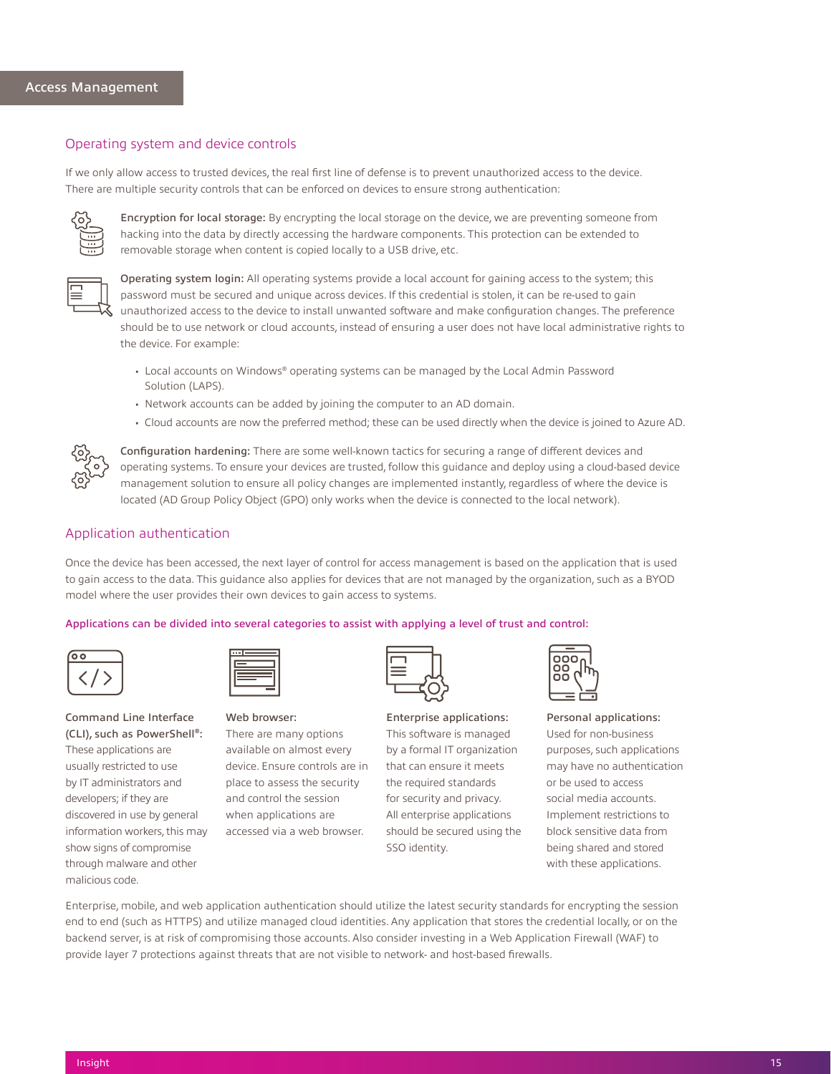### <span id="page-15-0"></span>Operating system and device controls

If we only allow access to trusted devices, the real first line of defense is to prevent unauthorized access to the device. There are multiple security controls that can be enforced on devices to ensure strong authentication:



Encryption for local storage: By encrypting the local storage on the device, we are preventing someone from hacking into the data by directly accessing the hardware components. This protection can be extended to removable storage when content is copied locally to a USB drive, etc.



Operating system login: All operating systems provide a local account for gaining access to the system; this password must be secured and unique across devices. If this credential is stolen, it can be re-used to gain unauthorized access to the device to install unwanted software and make configuration changes. The preference should be to use network or cloud accounts, instead of ensuring a user does not have local administrative rights to the device. For example:

- Local accounts on Windows® operating systems can be managed by the Local Admin Password Solution (LAPS).
- Network accounts can be added by joining the computer to an AD domain.
- Cloud accounts are now the preferred method; these can be used directly when the device is joined to Azure AD.



Configuration hardening: There are some well-known tactics for securing a range of different devices and operating systems. To ensure your devices are trusted, follow this guidance and deploy using a cloud-based device management solution to ensure all policy changes are implemented instantly, regardless of where the device is located (AD Group Policy Object (GPO) only works when the device is connected to the local network)[.](https://www.cisecurity.org/benchmark
)

# Application authentication

Once the device has been accessed, the next layer of control for access management is based on the application that is used to gain access to the data. This guidance also applies for devices that are not managed by the organization, such as a BYOD model where the user provides their own devices to gain access to systems.

#### Applications can be divided into several categories to assist with applying a level of trust and control:



# Command Line Interface (CLI), such as PowerShell®: These applications are usually restricted to use by IT administrators and developers; if they are discovered in use by general information workers, this may show signs of compromise through malware and other malicious code.



Web browser:

There are many options available on almost every device. Ensure controls are in place to assess the security and control the session when applications are accessed via a web browser.

Enterprise applications: This software is managed by a formal IT organization that can ensure it meets the required standards for security and privacy. All enterprise applications should be secured using the SSO identity.



Personal applications: Used for non-business purposes, such applications may have no authentication or be used to access social media accounts. Implement restrictions to block sensitive data from being shared and stored with these applications.

Enterprise, mobile, and web application authentication should utilize the latest security standards for encrypting the session end to end (such as HTTPS) and utilize managed cloud identities. Any application that stores the credential locally, or on the backend server, is at risk of compromising those accounts. Also consider investing in a Web Application Firewall (WAF) to provide layer 7 protections against threats that are not visible to network- and host-based firewalls.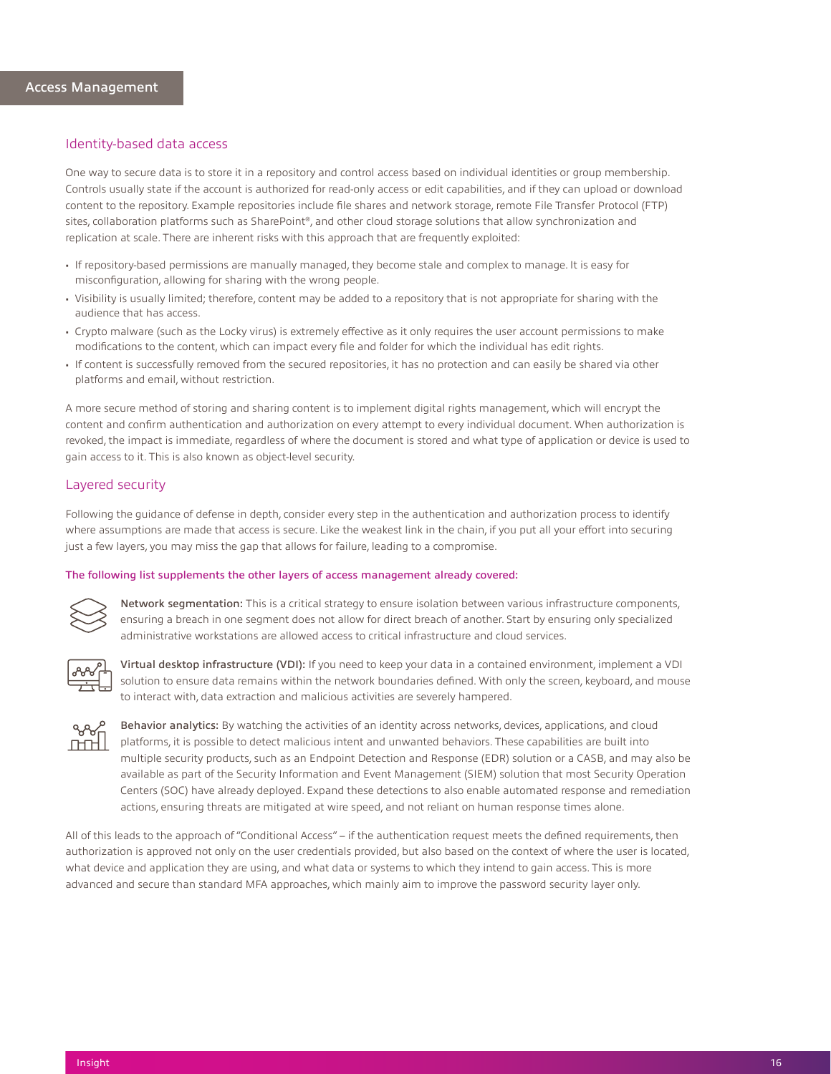### <span id="page-16-0"></span>Identity-based data access

One way to secure data is to store it in a repository and control access based on individual identities or group membership. Controls usually state if the account is authorized for read-only access or edit capabilities, and if they can upload or download content to the repository. Example repositories include file shares and network storage, remote File Transfer Protocol (FTP) sites, collaboration platforms such as SharePoint®, and other cloud storage solutions that allow synchronization and replication at scale. There are inherent risks with this approach that are frequently exploited:

- If repository-based permissions are manually managed, they become stale and complex to manage. It is easy for misconfiguration, allowing for sharing with the wrong people.
- Visibility is usually limited; therefore, content may be added to a repository that is not appropriate for sharing with the audience that has access.
- Crypto malware (such as the Locky virus) is extremely effective as it only requires the user account permissions to make modifications to the content, which can impact every file and folder for which the individual has edit rights.
- If content is successfully removed from the secured repositories, it has no protection and can easily be shared via other platforms and email, without restriction.

A more secure method of storing and sharing content is to implement digital rights management, which will encrypt the content and confirm authentication and authorization on every attempt to every individual document. When authorization is revoked, the impact is immediate, regardless of where the document is stored and what type of application or device is used to gain access to it. This is also known as object-level security.

#### Layered security

Following the guidance of defense in depth, consider every step in the authentication and authorization process to identify where assumptions are made that access is secure. Like the weakest link in the chain, if you put all your effort into securing just a few layers, you may miss the gap that allows for failure, leading to a compromise.

#### The following list supplements the other layers of access management already covered:



Network segmentation: This is a critical strategy to ensure isolation between various infrastructure components, ensuring a breach in one segment does not allow for direct breach of another. Start by ensuring only specialized administrative workstations are allowed access to critical infrastructure and cloud services.



Virtual desktop infrastructure (VDI): If you need to keep your data in a contained environment, implement a VDI solution to ensure data remains within the network boundaries defined. With only the screen, keyboard, and mouse to interact with, data extraction and malicious activities are severely hampered.



Behavior analytics: By watching the activities of an identity across networks, devices, applications, and cloud platforms, it is possible to detect malicious intent and unwanted behaviors. These capabilities are built into multiple security products, such as an Endpoint Detection and Response (EDR) solution or a CASB, and may also be available as part of the Security Information and Event Management (SIEM) solution that most Security Operation Centers (SOC) have already deployed. Expand these detections to also enable automated response and remediation actions, ensuring threats are mitigated at wire speed, and not reliant on human response times alone.

All of this leads to the approach of "Conditional Access" – if the authentication request meets the defined requirements, then authorization is approved not only on the user credentials provided, but also based on the context of where the user is located, what device and application they are using, and what data or systems to which they intend to gain access. This is more advanced and secure than standard MFA approaches, which mainly aim to improve the password security layer only.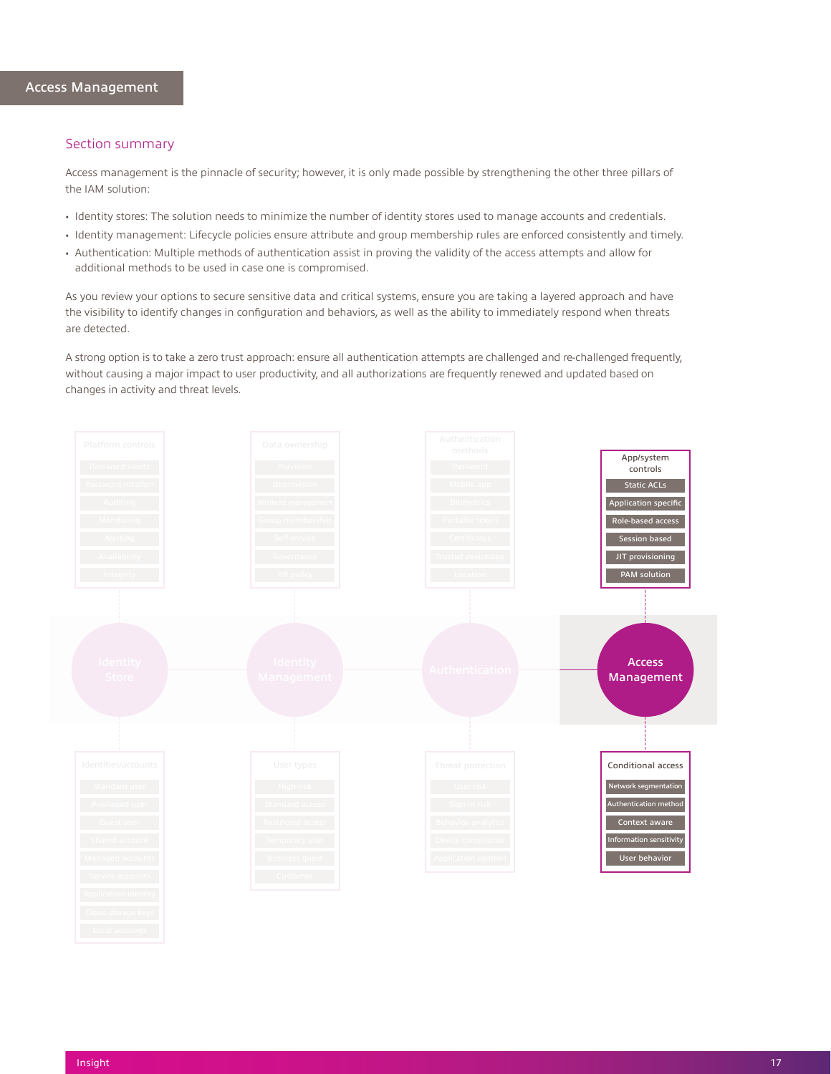<span id="page-17-0"></span>Access management is the pinnacle of security; however, it is only made possible by strengthening the other three pillars of the IAM solution:

- Identity stores: The solution needs to minimize the number of identity stores used to manage accounts and credentials.
- Identity management: Lifecycle policies ensure attribute and group membership rules are enforced consistently and timely.
- Authentication: Multiple methods of authentication assist in proving the validity of the access attempts and allow for additional methods to be used in case one is compromised.

As you review your options to secure sensitive data and critical systems, ensure you are taking a layered approach and have the visibility to identify changes in configuration and behaviors, as well as the ability to immediately respond when threats are detected.

A strong option is to take a zero trust approach: ensure all authentication attempts are challenged and re-challenged frequently, without causing a major impact to user productivity, and all authorizations are frequently renewed and updated based on changes in activity and threat levels.